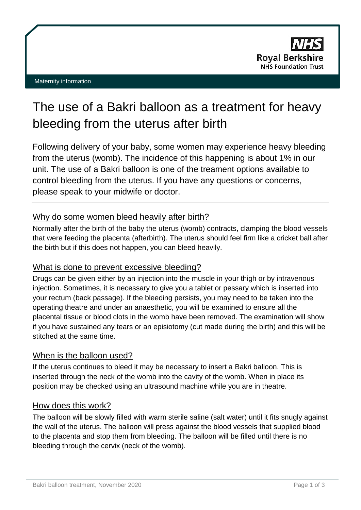# The use of a Bakri balloon as a treatment for heavy bleeding from the uterus after birth

Following delivery of your baby, some women may experience heavy bleeding from the uterus (womb). The incidence of this happening is about 1% in our unit. The use of a Bakri balloon is one of the treament options available to control bleeding from the uterus. If you have any questions or concerns, please speak to your midwife or doctor.

# Why do some women bleed heavily after birth?

Normally after the birth of the baby the uterus (womb) contracts, clamping the blood vessels that were feeding the placenta (afterbirth). The uterus should feel firm like a cricket ball after the birth but if this does not happen, you can bleed heavily.

# What is done to prevent excessive bleeding?

Drugs can be given either by an injection into the muscle in your thigh or by intravenous injection. Sometimes, it is necessary to give you a tablet or pessary which is inserted into your rectum (back passage). If the bleeding persists, you may need to be taken into the operating theatre and under an anaesthetic, you will be examined to ensure all the placental tissue or blood clots in the womb have been removed. The examination will show if you have sustained any tears or an episiotomy (cut made during the birth) and this will be stitched at the same time.

# When is the balloon used?

If the uterus continues to bleed it may be necessary to insert a Bakri balloon. This is inserted through the neck of the womb into the cavity of the womb. When in place its position may be checked using an ultrasound machine while you are in theatre.

#### How does this work?

The balloon will be slowly filled with warm sterile saline (salt water) until it fits snugly against the wall of the uterus. The balloon will press against the blood vessels that supplied blood to the placenta and stop them from bleeding. The balloon will be filled until there is no bleeding through the cervix (neck of the womb).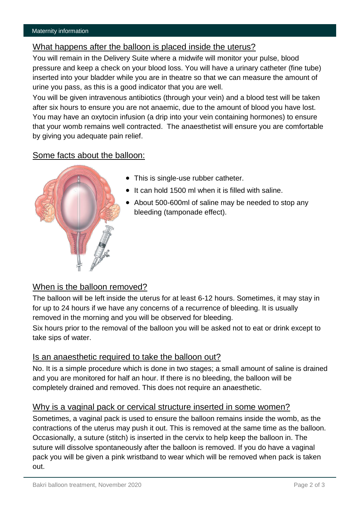#### What happens after the balloon is placed inside the uterus?

You will remain in the Delivery Suite where a midwife will monitor your pulse, blood pressure and keep a check on your blood loss. You will have a urinary catheter (fine tube) inserted into your bladder while you are in theatre so that we can measure the amount of urine you pass, as this is a good indicator that you are well.

You will be given intravenous antibiotics (through your vein) and a blood test will be taken after six hours to ensure you are not anaemic, due to the amount of blood you have lost. You may have an oxytocin infusion (a drip into your vein containing hormones) to ensure that your womb remains well contracted. The anaesthetist will ensure you are comfortable by giving you adequate pain relief.

#### Some facts about the balloon:



- This is single-use rubber catheter.
- $\bullet$  It can hold 1500 ml when it is filled with saline.
- About 500-600ml of saline may be needed to stop any bleeding (tamponade effect).

#### When is the balloon removed?

The balloon will be left inside the uterus for at least 6-12 hours. Sometimes, it may stay in for up to 24 hours if we have any concerns of a recurrence of bleeding. It is usually removed in the morning and you will be observed for bleeding.

Six hours prior to the removal of the balloon you will be asked not to eat or drink except to take sips of water.

#### Is an anaesthetic required to take the balloon out?

No. It is a simple procedure which is done in two stages; a small amount of saline is drained and you are monitored for half an hour. If there is no bleeding, the balloon will be completely drained and removed. This does not require an anaesthetic.

#### Why is a vaginal pack or cervical structure inserted in some women?

Sometimes, a vaginal pack is used to ensure the balloon remains inside the womb, as the contractions of the uterus may push it out. This is removed at the same time as the balloon. Occasionally, a suture (stitch) is inserted in the cervix to help keep the balloon in. The suture will dissolve spontaneously after the balloon is removed. If you do have a vaginal pack you will be given a pink wristband to wear which will be removed when pack is taken out.